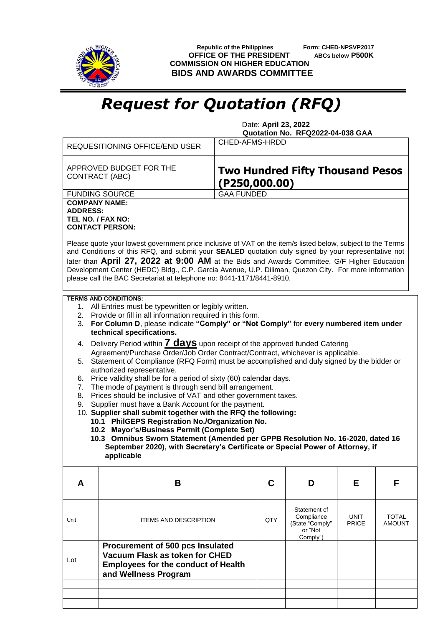

 **Republic of the Philippines Form: CHED-NPSVP2017 OFFICE OF THE PRESIDENT ABCs below P500K COMMISSION ON HIGHER EDUCATION BIDS AND AWARDS COMMITTEE**

## *Request for Quotation (RFQ)*

 Date: **April 23, 2022 Quotation No. RFQ2022-04-038 GAA**

|                                                                                                                                                                                                                                                                                                                                                                                                                                                                                                                                                                                                                                                                                                                                                                                                                                                                                                                                                                                                                                                                                                                                                                                                                                    | <b>REQUESITIONING OFFICE/END USER</b>                                                                                                    | CHED-AFMS-HRDD    |     |                                                                      |               |                               |  |  |
|------------------------------------------------------------------------------------------------------------------------------------------------------------------------------------------------------------------------------------------------------------------------------------------------------------------------------------------------------------------------------------------------------------------------------------------------------------------------------------------------------------------------------------------------------------------------------------------------------------------------------------------------------------------------------------------------------------------------------------------------------------------------------------------------------------------------------------------------------------------------------------------------------------------------------------------------------------------------------------------------------------------------------------------------------------------------------------------------------------------------------------------------------------------------------------------------------------------------------------|------------------------------------------------------------------------------------------------------------------------------------------|-------------------|-----|----------------------------------------------------------------------|---------------|-------------------------------|--|--|
|                                                                                                                                                                                                                                                                                                                                                                                                                                                                                                                                                                                                                                                                                                                                                                                                                                                                                                                                                                                                                                                                                                                                                                                                                                    | APPROVED BUDGET FOR THE<br>CONTRACT (ABC)                                                                                                | ( P250, 000.00)   |     | <b>Two Hundred Fifty Thousand Pesos</b>                              |               |                               |  |  |
|                                                                                                                                                                                                                                                                                                                                                                                                                                                                                                                                                                                                                                                                                                                                                                                                                                                                                                                                                                                                                                                                                                                                                                                                                                    | <b>FUNDING SOURCE</b>                                                                                                                    | <b>GAA FUNDED</b> |     |                                                                      |               |                               |  |  |
| <b>COMPANY NAME:</b><br><b>ADDRESS:</b><br>TEL NO. / FAX NO:<br><b>CONTACT PERSON:</b><br>Please quote your lowest government price inclusive of VAT on the item/s listed below, subject to the Terms<br>and Conditions of this RFQ, and submit your SEALED quotation duly signed by your representative not<br>later than April 27, 2022 at 9:00 AM at the Bids and Awards Committee, G/F Higher Education<br>Development Center (HEDC) Bldg., C.P. Garcia Avenue, U.P. Diliman, Quezon City. For more information                                                                                                                                                                                                                                                                                                                                                                                                                                                                                                                                                                                                                                                                                                                |                                                                                                                                          |                   |     |                                                                      |               |                               |  |  |
| please call the BAC Secretariat at telephone no: 8441-1171/8441-8910.                                                                                                                                                                                                                                                                                                                                                                                                                                                                                                                                                                                                                                                                                                                                                                                                                                                                                                                                                                                                                                                                                                                                                              |                                                                                                                                          |                   |     |                                                                      |               |                               |  |  |
| <b>TERMS AND CONDITIONS:</b><br>1. All Entries must be typewritten or legibly written.<br>2. Provide or fill in all information required in this form.<br>For Column D, please indicate "Comply" or "Not Comply" for every numbered item under<br>3.<br>technical specifications.<br>Delivery Period within <b>7 days</b> upon receipt of the approved funded Catering<br>4.<br>Agreement/Purchase Order/Job Order Contract/Contract, whichever is applicable.<br>Statement of Compliance (RFQ Form) must be accomplished and duly signed by the bidder or<br>5.<br>authorized representative.<br>Price validity shall be for a period of sixty (60) calendar days.<br>6.<br>The mode of payment is through send bill arrangement.<br>7.<br>Prices should be inclusive of VAT and other government taxes.<br>8.<br>Supplier must have a Bank Account for the payment.<br>9.<br>10. Supplier shall submit together with the RFQ the following:<br>10.1 PhilGEPS Registration No./Organization No.<br>10.2 Mayor's/Business Permit (Complete Set)<br>10.3 Omnibus Sworn Statement (Amended per GPPB Resolution No. 16-2020, dated 16<br>September 2020), with Secretary's Certificate or Special Power of Attorney, if<br>applicable |                                                                                                                                          |                   |     |                                                                      |               |                               |  |  |
| A                                                                                                                                                                                                                                                                                                                                                                                                                                                                                                                                                                                                                                                                                                                                                                                                                                                                                                                                                                                                                                                                                                                                                                                                                                  | B                                                                                                                                        |                   | C   | D                                                                    | Е             | F                             |  |  |
| Unit                                                                                                                                                                                                                                                                                                                                                                                                                                                                                                                                                                                                                                                                                                                                                                                                                                                                                                                                                                                                                                                                                                                                                                                                                               | <b>ITEMS AND DESCRIPTION</b>                                                                                                             |                   | QTY | Statement of<br>Compliance<br>(State "Comply"<br>or "Not<br>Comply") | UNIT<br>PRICE | <b>TOTAL</b><br><b>AMOUNT</b> |  |  |
| Lot                                                                                                                                                                                                                                                                                                                                                                                                                                                                                                                                                                                                                                                                                                                                                                                                                                                                                                                                                                                                                                                                                                                                                                                                                                | Procurement of 500 pcs Insulated<br>Vacuum Flask as token for CHED<br><b>Employees for the conduct of Health</b><br>and Wellness Program |                   |     |                                                                      |               |                               |  |  |
|                                                                                                                                                                                                                                                                                                                                                                                                                                                                                                                                                                                                                                                                                                                                                                                                                                                                                                                                                                                                                                                                                                                                                                                                                                    |                                                                                                                                          |                   |     |                                                                      |               |                               |  |  |
|                                                                                                                                                                                                                                                                                                                                                                                                                                                                                                                                                                                                                                                                                                                                                                                                                                                                                                                                                                                                                                                                                                                                                                                                                                    |                                                                                                                                          |                   |     |                                                                      |               |                               |  |  |
|                                                                                                                                                                                                                                                                                                                                                                                                                                                                                                                                                                                                                                                                                                                                                                                                                                                                                                                                                                                                                                                                                                                                                                                                                                    |                                                                                                                                          |                   |     |                                                                      |               |                               |  |  |